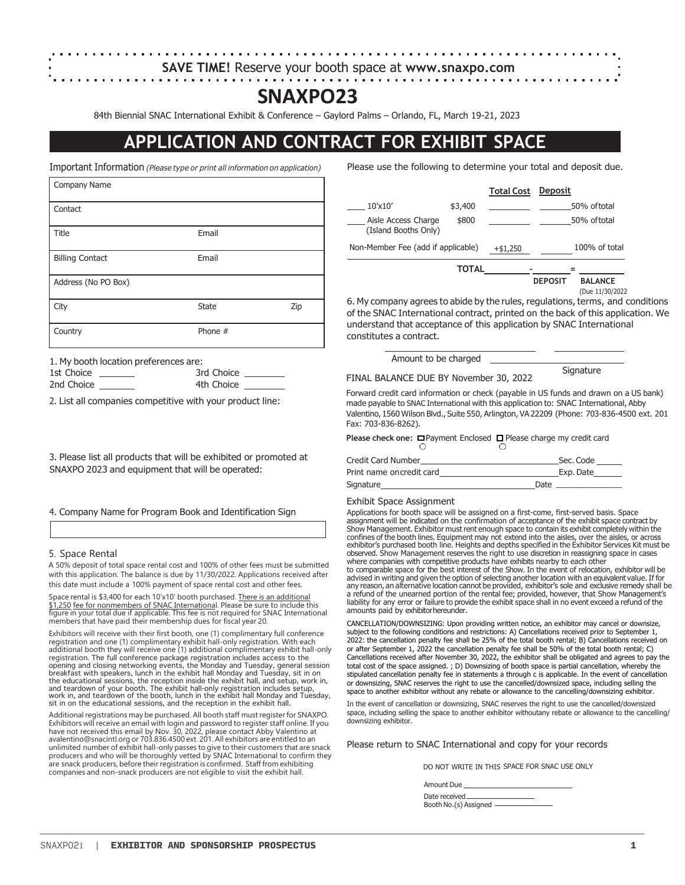# **SAVE TIME!** Reserve your booth space at **www.snaxpo.com**

# **SNAXPO23**

84th Biennial SNAC International Exhibit & Conference – Gaylord Palms – Orlando, FL, March 19-21, 2023

# **APPLICATION AND CONTRACT FOR EXHIBIT SPACE**

| Company Name           |              |     |
|------------------------|--------------|-----|
| Contact                |              |     |
| Title                  | Email        |     |
| <b>Billing Contact</b> | Email        |     |
| Address (No PO Box)    |              |     |
| City                   | <b>State</b> | Zip |
| Country                | Phone $#$    |     |

1. My booth location preferences are:

| 1st Choice | 3rd Choice |
|------------|------------|
| 2nd Choice | 4th Choice |
|            |            |

2. List all companies competitive with your product line:

3. Please list all products that will be exhibited or promoted at SNAXPO 2023 and equipment that will be operated:

4. Company Name for Program Book and Identification Sign

## 5. Space Rental

A 50% deposit of total space rental cost and 100% of other fees must be submitted with this application. The balance is due by 11/30/2022. Applications received after this date must include a 100% payment of space rental cost and other fees.

Space rental is \$3,400 for each 10'x10' booth purchased. There is an additional \$1,250 fee for nonmembers of SNAC International. Please be sure to include this figure in your total due if applicable. This fee is not required for SNAC International members that have paid their membership dues for fiscal year 20.

Exhibitors will receive with their first booth, one (1) complimentary full conference registration and one (1) complimentary exhibit hall-only registration. With each additional booth they will receive one (1) additional complimentary exhibit hall-only<br>registration. The full conference package registration includes access to the<br>opening and closing networking events, the Monday and Tues the educational sessions, the reception inside the exhibit hall, and setup, work in, and teardown of your booth. The exhibit hall-only registration includes setup, work in, and teardown of the booth, lunch in the exhibit hall Monday and Tuesday, sit in on the educational sessions, and the reception in the exhibit hall.

Additional registrations may be purchased. All booth staff must register for SNAXPO. Exhibitors will receive an email with login and password to register staff online. If you have not received this email by Nov. 30, 2022, please contact Abby Valentino at avalentino@snacintl.org or 703.836.4500 ext. 201. All exhibitors are entitled to an<br>unlimited number of exhibit hall-only passes to give to their customers that are snack<br>producers and who will be thoroughly vetted by SNAC companies and non-snack producers are not eligible to visit the exhibit hall.

Important Information *(Please type or print all information on application)* Please use the following to determine your total and deposit due.

|                                             |              | <b>Total Cost</b> | Deposit        |                  |
|---------------------------------------------|--------------|-------------------|----------------|------------------|
| $10'$ x $10'$                               | \$3,400      |                   |                | 50% of total     |
| Aisle Access Charge<br>(Island Booths Only) | \$800        |                   |                | 50% of total     |
| Non-Member Fee (add if applicable)          |              | $+ $1,250$        |                | $100\%$ of total |
|                                             | <b>TOTAL</b> |                   | <b>DEPOSIT</b> | <b>BALANCE</b>   |

6. My company agrees to abide by the rules, regulations, terms, and conditions of the SNAC International contract, printed on the back of this application. We understand that acceptance of this application by SNAC International constitutes a contract.

FINAL BALANCE DUE BY November 30, 2022 Amount to be charged

**Signature** 

(Due 11/30/2022

Forward credit card information or check (payable in US funds and drawn on a US bank) made payable to SNAC International with this application to: SNAC International, Abby Valentino, 1560 Wilson Blvd., Suite 550, Arlington, VA 22209 (Phone: 703-836-4500 ext. 201 Fax: 703-836-8262).

**Please check one: □ Payment Enclosed □ Please charge my credit card** 

| <b>Credit Card Number</b> |      | Sec. Code |
|---------------------------|------|-----------|
| Print name oncredit card  |      | Exp. Date |
| Signature                 | Date |           |

## Exhibit Space Assignment

Applications for booth space will be assigned on a first-come, first-served basis. Space assignment will be indicated on the confirmation of acceptance of the exhibit space contract by Show Management. Exhibitor must rent enough space to contain its exhibit completely within the confines of the booth lines. Equipment may not extend into the aisles, over the aisles, or across exhibitor's purchased booth line. Heights and depths specified in the Exhibitor Services Kit must be observed. Show Management reserves the right to use discretion in reassigning space in cases where companies with competitive products have exhibits nearby to each other to comparable space for the best interest of the Show. In the event of relocation, exhibitor will be advised in writing and given the option of selecting another location with an equivalent value. If for any reason, an alternative location cannot be provided, exhibitor's sole and exclusive remedy shall be a refund of the unearned portion of the rental fee; provided, however, that Show Management's liability for any error or failure to provide the exhibit space shall in no event exceed a refund of the amounts paid by exhibitorhereunder.

CANCELLATION/DOWNSIZING: Upon providing written notice, an exhibitor may cancel or downsize, subject to the following conditions and restrictions: A) Cancellations received prior to September 1, 2022: the cancellation penalty fee shall be 25% of the total booth rental; B) Cancellations received on or after September 1, 2022 the cancellation penalty fee shall be 50% of the total booth rental; C) Cancellations received after November 30, 2022, the exhibitor shall be obligated and agrees to pay the total cost of the space assigned. ; D) Downsizing of booth space is partial cancellation, whereby the stipulated cancellation penalty fee in statements a through c is applicable. In the event of cancellation or downsizing, SNAC reserves the right to use the cancelled/downsized space, including selling the space to another exhibitor without any rebate or allowance to the cancelling/downsizing exhibitor.

In the event of cancellation or downsizing, SNAC reserves the right to use the cancelled/downsized space, including selling the space to another exhibitor withoutany rebate or allowance to the cancelling/ downsizing exhibitor.

Please return to SNAC International and copy for your records

DO NOT WRITE IN THIS SPACE FOR SNAC USE ONLY

Amount Due

Date received Booth No.(s) Assigned